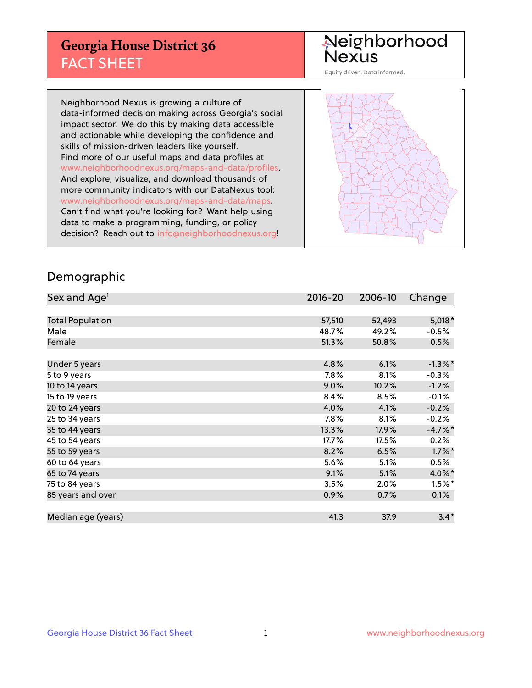## **Georgia House District 36** FACT SHEET

# Neighborhood<br>Nexus

Equity driven. Data informed.

Neighborhood Nexus is growing a culture of data-informed decision making across Georgia's social impact sector. We do this by making data accessible and actionable while developing the confidence and skills of mission-driven leaders like yourself. Find more of our useful maps and data profiles at www.neighborhoodnexus.org/maps-and-data/profiles. And explore, visualize, and download thousands of more community indicators with our DataNexus tool: www.neighborhoodnexus.org/maps-and-data/maps. Can't find what you're looking for? Want help using data to make a programming, funding, or policy decision? Reach out to [info@neighborhoodnexus.org!](mailto:info@neighborhoodnexus.org)



#### Demographic

| Sex and Age <sup>1</sup> | $2016 - 20$ | 2006-10 | Change     |
|--------------------------|-------------|---------|------------|
|                          |             |         |            |
| <b>Total Population</b>  | 57,510      | 52,493  | $5,018*$   |
| Male                     | 48.7%       | 49.2%   | $-0.5%$    |
| Female                   | 51.3%       | 50.8%   | 0.5%       |
|                          |             |         |            |
| Under 5 years            | 4.8%        | 6.1%    | $-1.3\%$ * |
| 5 to 9 years             | 7.8%        | 8.1%    | $-0.3%$    |
| 10 to 14 years           | 9.0%        | 10.2%   | $-1.2%$    |
| 15 to 19 years           | 8.4%        | 8.5%    | $-0.1%$    |
| 20 to 24 years           | 4.0%        | 4.1%    | $-0.2%$    |
| 25 to 34 years           | 7.8%        | 8.1%    | $-0.2%$    |
| 35 to 44 years           | 13.3%       | 17.9%   | $-4.7%$ *  |
| 45 to 54 years           | 17.7%       | 17.5%   | 0.2%       |
| 55 to 59 years           | 8.2%        | 6.5%    | $1.7\%$ *  |
| 60 to 64 years           | 5.6%        | 5.1%    | 0.5%       |
| 65 to 74 years           | 9.1%        | 5.1%    | 4.0%*      |
| 75 to 84 years           | 3.5%        | 2.0%    | $1.5%$ *   |
| 85 years and over        | 0.9%        | 0.7%    | 0.1%       |
|                          |             |         |            |
| Median age (years)       | 41.3        | 37.9    | $3.4*$     |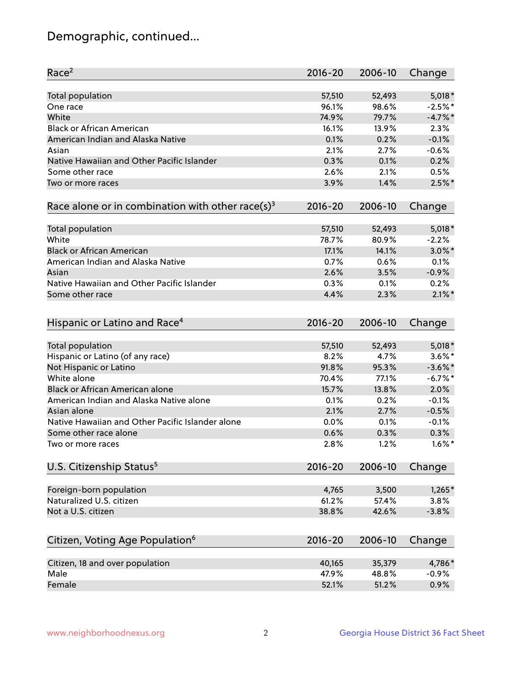## Demographic, continued...

| Race <sup>2</sup>                                            | $2016 - 20$ | 2006-10 | Change     |
|--------------------------------------------------------------|-------------|---------|------------|
| <b>Total population</b>                                      | 57,510      | 52,493  | $5,018*$   |
| One race                                                     | 96.1%       | 98.6%   | $-2.5%$ *  |
| White                                                        | 74.9%       | 79.7%   | $-4.7%$    |
| <b>Black or African American</b>                             | 16.1%       | 13.9%   | 2.3%       |
| American Indian and Alaska Native                            | 0.1%        | 0.2%    | $-0.1%$    |
| Asian                                                        | 2.1%        | 2.7%    | $-0.6%$    |
| Native Hawaiian and Other Pacific Islander                   | 0.3%        | 0.1%    | 0.2%       |
| Some other race                                              | 2.6%        | 2.1%    | 0.5%       |
| Two or more races                                            | 3.9%        | 1.4%    | $2.5%$ *   |
| Race alone or in combination with other race(s) <sup>3</sup> | $2016 - 20$ | 2006-10 | Change     |
| Total population                                             | 57,510      | 52,493  | $5,018*$   |
| White                                                        | 78.7%       | 80.9%   | $-2.2%$    |
| <b>Black or African American</b>                             | 17.1%       | 14.1%   | $3.0\%$ *  |
| American Indian and Alaska Native                            | 0.7%        | 0.6%    | 0.1%       |
| Asian                                                        | 2.6%        | 3.5%    | $-0.9%$    |
| Native Hawaiian and Other Pacific Islander                   | 0.3%        | 0.1%    | 0.2%       |
| Some other race                                              | 4.4%        | 2.3%    | $2.1\%$ *  |
| Hispanic or Latino and Race <sup>4</sup>                     | $2016 - 20$ | 2006-10 | Change     |
| <b>Total population</b>                                      | 57,510      | 52,493  | $5,018*$   |
| Hispanic or Latino (of any race)                             | 8.2%        | 4.7%    | $3.6\%$ *  |
| Not Hispanic or Latino                                       | 91.8%       | 95.3%   | $-3.6\%$ * |
| White alone                                                  | 70.4%       | 77.1%   | $-6.7\%$ * |
| <b>Black or African American alone</b>                       | 15.7%       | 13.8%   | 2.0%       |
| American Indian and Alaska Native alone                      | 0.1%        | 0.2%    | $-0.1%$    |
| Asian alone                                                  | 2.1%        | 2.7%    | $-0.5%$    |
| Native Hawaiian and Other Pacific Islander alone             | 0.0%        | 0.1%    | $-0.1%$    |
| Some other race alone                                        | 0.6%        | 0.3%    | 0.3%       |
| Two or more races                                            | 2.8%        | 1.2%    | $1.6\%$ *  |
| U.S. Citizenship Status <sup>5</sup>                         | $2016 - 20$ | 2006-10 | Change     |
| Foreign-born population                                      | 4,765       | 3,500   | $1,265*$   |
| Naturalized U.S. citizen                                     | 61.2%       | 57.4%   | 3.8%       |
| Not a U.S. citizen                                           | 38.8%       | 42.6%   | $-3.8%$    |
|                                                              |             |         |            |
| Citizen, Voting Age Population <sup>6</sup>                  | $2016 - 20$ | 2006-10 | Change     |
| Citizen, 18 and over population                              | 40,165      | 35,379  | 4,786*     |
| Male                                                         | 47.9%       | 48.8%   | $-0.9%$    |
| Female                                                       | 52.1%       | 51.2%   | 0.9%       |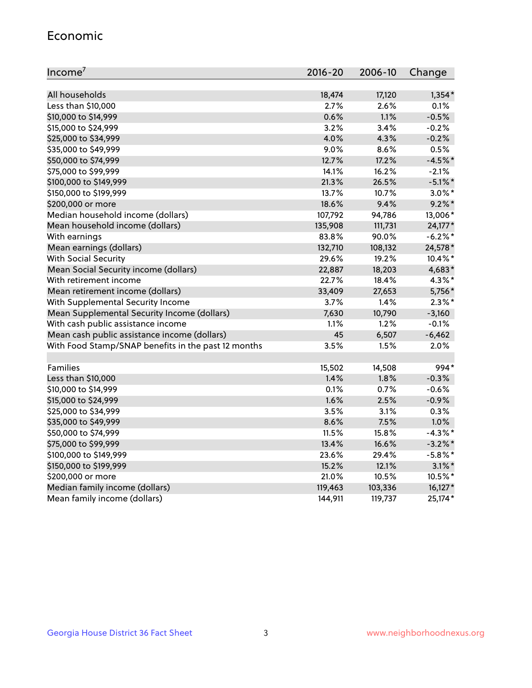#### Economic

| Income <sup>7</sup>                                 | $2016 - 20$ | 2006-10 | Change     |
|-----------------------------------------------------|-------------|---------|------------|
|                                                     |             |         |            |
| All households                                      | 18,474      | 17,120  | $1,354*$   |
| Less than \$10,000                                  | 2.7%        | 2.6%    | 0.1%       |
| \$10,000 to \$14,999                                | 0.6%        | 1.1%    | $-0.5%$    |
| \$15,000 to \$24,999                                | 3.2%        | 3.4%    | $-0.2%$    |
| \$25,000 to \$34,999                                | 4.0%        | 4.3%    | $-0.2%$    |
| \$35,000 to \$49,999                                | 9.0%        | 8.6%    | 0.5%       |
| \$50,000 to \$74,999                                | 12.7%       | 17.2%   | $-4.5%$ *  |
| \$75,000 to \$99,999                                | 14.1%       | 16.2%   | $-2.1%$    |
| \$100,000 to \$149,999                              | 21.3%       | 26.5%   | $-5.1\%$ * |
| \$150,000 to \$199,999                              | 13.7%       | 10.7%   | $3.0\%$ *  |
| \$200,000 or more                                   | 18.6%       | 9.4%    | $9.2\%$ *  |
| Median household income (dollars)                   | 107,792     | 94,786  | 13,006*    |
| Mean household income (dollars)                     | 135,908     | 111,731 | 24,177*    |
| With earnings                                       | 83.8%       | 90.0%   | $-6.2\%$ * |
| Mean earnings (dollars)                             | 132,710     | 108,132 | 24,578*    |
| <b>With Social Security</b>                         | 29.6%       | 19.2%   | $10.4\%$ * |
| Mean Social Security income (dollars)               | 22,887      | 18,203  | 4,683*     |
| With retirement income                              | 22.7%       | 18.4%   | 4.3%*      |
| Mean retirement income (dollars)                    | 33,409      | 27,653  | 5,756*     |
| With Supplemental Security Income                   | $3.7\%$     | 1.4%    | $2.3\%$ *  |
| Mean Supplemental Security Income (dollars)         | 7,630       | 10,790  | $-3,160$   |
| With cash public assistance income                  | 1.1%        | 1.2%    | $-0.1%$    |
| Mean cash public assistance income (dollars)        | 45          | 6,507   | $-6,462$   |
| With Food Stamp/SNAP benefits in the past 12 months | 3.5%        | 1.5%    | 2.0%       |
|                                                     |             |         |            |
| Families                                            | 15,502      | 14,508  | 994*       |
| Less than \$10,000                                  | 1.4%        | 1.8%    | $-0.3%$    |
| \$10,000 to \$14,999                                | 0.1%        | 0.7%    | $-0.6%$    |
| \$15,000 to \$24,999                                | 1.6%        | 2.5%    | $-0.9%$    |
| \$25,000 to \$34,999                                | 3.5%        | 3.1%    | 0.3%       |
| \$35,000 to \$49,999                                | 8.6%        | 7.5%    | 1.0%       |
| \$50,000 to \$74,999                                | 11.5%       | 15.8%   | $-4.3\%$ * |
| \$75,000 to \$99,999                                | 13.4%       | 16.6%   | $-3.2\%$ * |
| \$100,000 to \$149,999                              | 23.6%       | 29.4%   | $-5.8\%$ * |
| \$150,000 to \$199,999                              | 15.2%       | 12.1%   | $3.1\%$ *  |
| \$200,000 or more                                   | 21.0%       | 10.5%   | 10.5%*     |
| Median family income (dollars)                      | 119,463     | 103,336 | $16,127*$  |
| Mean family income (dollars)                        | 144,911     | 119,737 | 25,174*    |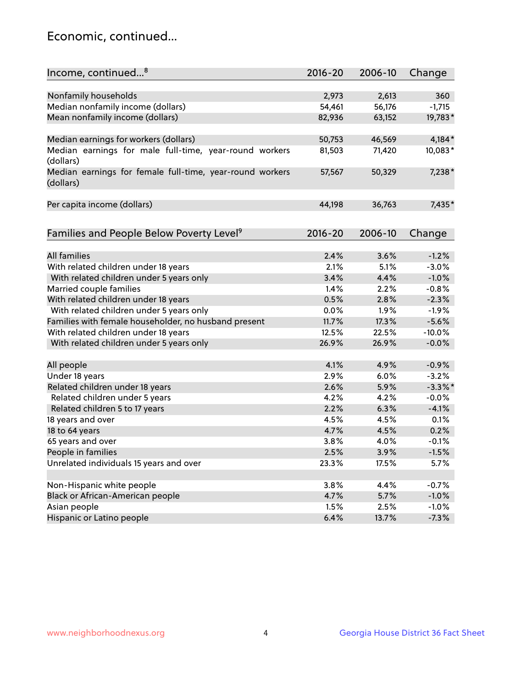## Economic, continued...

| Income, continued <sup>8</sup>                                        | $2016 - 20$ | 2006-10 | Change     |
|-----------------------------------------------------------------------|-------------|---------|------------|
|                                                                       |             |         |            |
| Nonfamily households                                                  | 2,973       | 2,613   | 360        |
| Median nonfamily income (dollars)                                     | 54,461      | 56,176  | $-1,715$   |
| Mean nonfamily income (dollars)                                       | 82,936      | 63,152  | 19,783*    |
| Median earnings for workers (dollars)                                 | 50,753      | 46,569  | 4,184*     |
| Median earnings for male full-time, year-round workers                | 81,503      | 71,420  | 10,083*    |
| (dollars)                                                             |             |         |            |
| Median earnings for female full-time, year-round workers<br>(dollars) | 57,567      | 50,329  | 7,238*     |
| Per capita income (dollars)                                           | 44,198      | 36,763  | 7,435*     |
|                                                                       |             |         |            |
| Families and People Below Poverty Level <sup>9</sup>                  | 2016-20     | 2006-10 | Change     |
| <b>All families</b>                                                   |             |         |            |
|                                                                       | 2.4%        | 3.6%    | $-1.2%$    |
| With related children under 18 years                                  | 2.1%        | 5.1%    | $-3.0%$    |
| With related children under 5 years only                              | 3.4%        | 4.4%    | $-1.0%$    |
| Married couple families                                               | 1.4%        | 2.2%    | $-0.8%$    |
| With related children under 18 years                                  | 0.5%        | 2.8%    | $-2.3%$    |
| With related children under 5 years only                              | 0.0%        | 1.9%    | $-1.9%$    |
| Families with female householder, no husband present                  | 11.7%       | 17.3%   | $-5.6%$    |
| With related children under 18 years                                  | 12.5%       | 22.5%   | $-10.0%$   |
| With related children under 5 years only                              | 26.9%       | 26.9%   | $-0.0%$    |
| All people                                                            | 4.1%        | 4.9%    | $-0.9%$    |
| Under 18 years                                                        | 2.9%        | 6.0%    | $-3.2%$    |
| Related children under 18 years                                       | 2.6%        | 5.9%    | $-3.3\%$ * |
| Related children under 5 years                                        | 4.2%        | 4.2%    | $-0.0%$    |
| Related children 5 to 17 years                                        | 2.2%        | 6.3%    | $-4.1%$    |
| 18 years and over                                                     | 4.5%        | 4.5%    | 0.1%       |
| 18 to 64 years                                                        | 4.7%        | 4.5%    | 0.2%       |
| 65 years and over                                                     | 3.8%        | 4.0%    | $-0.1%$    |
| People in families                                                    | 2.5%        | 3.9%    | $-1.5%$    |
| Unrelated individuals 15 years and over                               | 23.3%       | 17.5%   | 5.7%       |
|                                                                       |             |         |            |
| Non-Hispanic white people                                             | 3.8%        | 4.4%    | $-0.7%$    |
| Black or African-American people                                      | 4.7%        | 5.7%    | $-1.0%$    |
| Asian people                                                          | 1.5%        | 2.5%    | $-1.0%$    |
| Hispanic or Latino people                                             | 6.4%        | 13.7%   | $-7.3%$    |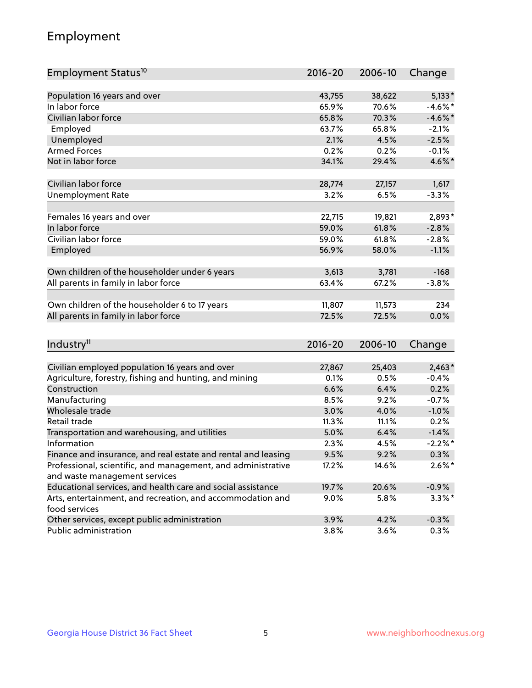## Employment

| Employment Status <sup>10</sup>                                             | $2016 - 20$ | 2006-10 | Change     |
|-----------------------------------------------------------------------------|-------------|---------|------------|
|                                                                             |             |         |            |
| Population 16 years and over                                                | 43,755      | 38,622  | $5,133*$   |
| In labor force                                                              | 65.9%       | 70.6%   | $-4.6%$ *  |
| Civilian labor force                                                        | 65.8%       | 70.3%   | $-4.6\%$ * |
| Employed                                                                    | 63.7%       | 65.8%   | $-2.1%$    |
| Unemployed                                                                  | 2.1%        | 4.5%    | $-2.5%$    |
| <b>Armed Forces</b>                                                         | 0.2%        | 0.2%    | $-0.1%$    |
| Not in labor force                                                          | 34.1%       | 29.4%   | 4.6%*      |
| Civilian labor force                                                        | 28,774      | 27,157  | 1,617      |
| <b>Unemployment Rate</b>                                                    | 3.2%        | 6.5%    | $-3.3%$    |
|                                                                             |             |         |            |
| Females 16 years and over                                                   | 22,715      | 19,821  | $2,893*$   |
| In labor force                                                              | 59.0%       | 61.8%   | $-2.8%$    |
| Civilian labor force                                                        | 59.0%       | 61.8%   | $-2.8%$    |
| Employed                                                                    | 56.9%       | 58.0%   | $-1.1%$    |
| Own children of the householder under 6 years                               | 3,613       | 3,781   | $-168$     |
|                                                                             | 63.4%       | 67.2%   | $-3.8%$    |
| All parents in family in labor force                                        |             |         |            |
| Own children of the householder 6 to 17 years                               | 11,807      | 11,573  | 234        |
| All parents in family in labor force                                        | 72.5%       | 72.5%   | 0.0%       |
|                                                                             |             |         |            |
| Industry <sup>11</sup>                                                      | $2016 - 20$ | 2006-10 | Change     |
|                                                                             |             |         |            |
| Civilian employed population 16 years and over                              | 27,867      | 25,403  | $2,463*$   |
| Agriculture, forestry, fishing and hunting, and mining                      | 0.1%        | 0.5%    | $-0.4%$    |
| Construction                                                                | 6.6%        | 6.4%    | 0.2%       |
| Manufacturing                                                               | 8.5%        | 9.2%    | $-0.7%$    |
| Wholesale trade                                                             | 3.0%        | 4.0%    | $-1.0%$    |
| Retail trade                                                                | 11.3%       | 11.1%   | 0.2%       |
| Transportation and warehousing, and utilities                               | 5.0%        | 6.4%    | $-1.4%$    |
| Information                                                                 | 2.3%        | 4.5%    | $-2.2\%$ * |
| Finance and insurance, and real estate and rental and leasing               | 9.5%        | 9.2%    | $0.3\%$    |
| Professional, scientific, and management, and administrative                | 17.2%       | 14.6%   | $2.6\%$ *  |
| and waste management services                                               |             |         |            |
| Educational services, and health care and social assistance                 | 19.7%       | 20.6%   | $-0.9%$    |
| Arts, entertainment, and recreation, and accommodation and<br>food services | $9.0\%$     | 5.8%    | $3.3\%$ *  |
| Other services, except public administration                                | 3.9%        | 4.2%    | $-0.3%$    |
| Public administration                                                       | 3.8%        | 3.6%    | 0.3%       |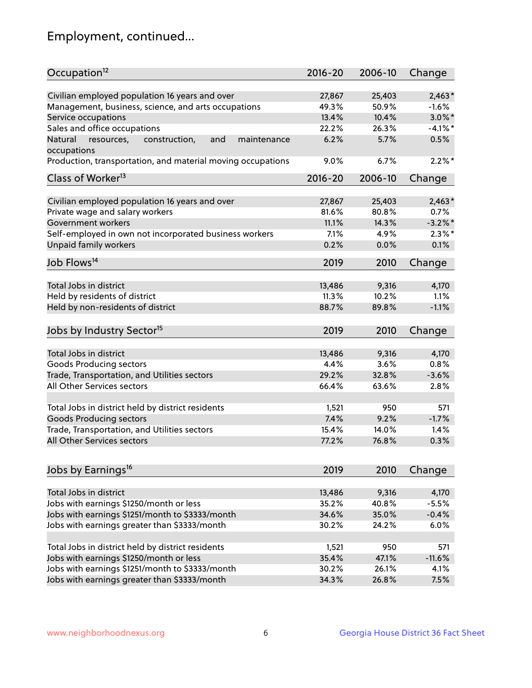## Employment, continued...

| Occupation <sup>12</sup>                                                    | $2016 - 20$ | 2006-10 | Change     |
|-----------------------------------------------------------------------------|-------------|---------|------------|
| Civilian employed population 16 years and over                              | 27,867      | 25,403  | $2,463*$   |
| Management, business, science, and arts occupations                         | 49.3%       | 50.9%   | $-1.6%$    |
| Service occupations                                                         | 13.4%       | 10.4%   | $3.0\%$ *  |
| Sales and office occupations                                                | 22.2%       | 26.3%   | $-4.1\%$ * |
|                                                                             | 6.2%        | 5.7%    | 0.5%       |
| Natural<br>and<br>resources,<br>construction,<br>maintenance<br>occupations |             |         |            |
| Production, transportation, and material moving occupations                 | 9.0%        | 6.7%    | $2.2\%$ *  |
| Class of Worker <sup>13</sup>                                               | $2016 - 20$ | 2006-10 | Change     |
|                                                                             |             |         |            |
| Civilian employed population 16 years and over                              | 27,867      | 25,403  | $2,463*$   |
| Private wage and salary workers                                             | 81.6%       | 80.8%   | 0.7%       |
| Government workers                                                          | 11.1%       | 14.3%   | $-3.2%$    |
| Self-employed in own not incorporated business workers                      | 7.1%        | 4.9%    | $2.3\%$ *  |
| Unpaid family workers                                                       | 0.2%        | 0.0%    | 0.1%       |
| Job Flows <sup>14</sup>                                                     | 2019        | 2010    | Change     |
|                                                                             |             |         |            |
| Total Jobs in district                                                      | 13,486      | 9,316   | 4,170      |
| Held by residents of district                                               | 11.3%       | 10.2%   | 1.1%       |
| Held by non-residents of district                                           | 88.7%       | 89.8%   | $-1.1%$    |
| Jobs by Industry Sector <sup>15</sup>                                       | 2019        | 2010    | Change     |
|                                                                             |             |         |            |
| Total Jobs in district                                                      | 13,486      | 9,316   | 4,170      |
| Goods Producing sectors                                                     | 4.4%        | 3.6%    | 0.8%       |
| Trade, Transportation, and Utilities sectors                                | 29.2%       | 32.8%   | $-3.6%$    |
| All Other Services sectors                                                  | 66.4%       | 63.6%   | 2.8%       |
| Total Jobs in district held by district residents                           | 1,521       | 950     | 571        |
| <b>Goods Producing sectors</b>                                              | 7.4%        | 9.2%    | $-1.7%$    |
| Trade, Transportation, and Utilities sectors                                | 15.4%       | 14.0%   | 1.4%       |
| All Other Services sectors                                                  | 77.2%       | 76.8%   | 0.3%       |
|                                                                             |             |         |            |
| Jobs by Earnings <sup>16</sup>                                              | 2019        | 2010    | Change     |
|                                                                             |             |         |            |
| Total Jobs in district                                                      | 13,486      | 9,316   | 4,170      |
| Jobs with earnings \$1250/month or less                                     | 35.2%       | 40.8%   | $-5.5%$    |
| Jobs with earnings \$1251/month to \$3333/month                             | 34.6%       | 35.0%   | $-0.4%$    |
| Jobs with earnings greater than \$3333/month                                | 30.2%       | 24.2%   | 6.0%       |
| Total Jobs in district held by district residents                           | 1,521       | 950     | 571        |
| Jobs with earnings \$1250/month or less                                     | 35.4%       | 47.1%   | $-11.6%$   |
| Jobs with earnings \$1251/month to \$3333/month                             | 30.2%       | 26.1%   | 4.1%       |
| Jobs with earnings greater than \$3333/month                                | 34.3%       | 26.8%   | 7.5%       |
|                                                                             |             |         |            |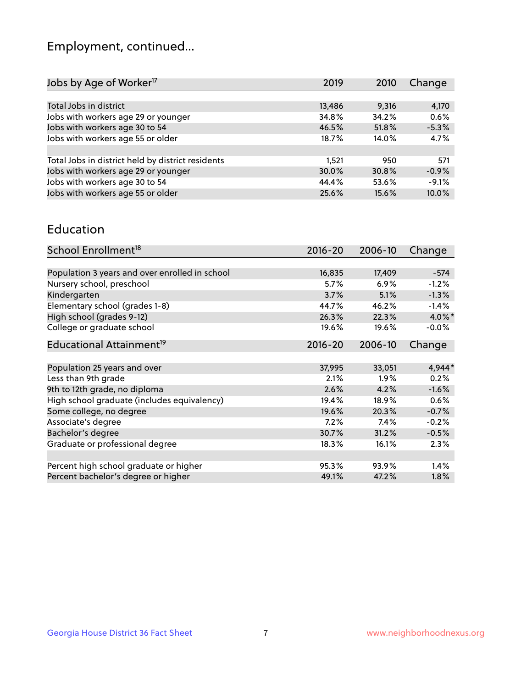## Employment, continued...

| Jobs by Age of Worker <sup>17</sup>               | 2019   | 2010  | Change  |
|---------------------------------------------------|--------|-------|---------|
|                                                   |        |       |         |
| Total Jobs in district                            | 13,486 | 9,316 | 4,170   |
| Jobs with workers age 29 or younger               | 34.8%  | 34.2% | 0.6%    |
| Jobs with workers age 30 to 54                    | 46.5%  | 51.8% | $-5.3%$ |
| Jobs with workers age 55 or older                 | 18.7%  | 14.0% | 4.7%    |
|                                                   |        |       |         |
| Total Jobs in district held by district residents | 1,521  | 950   | 571     |
| Jobs with workers age 29 or younger               | 30.0%  | 30.8% | $-0.9%$ |
| Jobs with workers age 30 to 54                    | 44.4%  | 53.6% | $-9.1%$ |
| Jobs with workers age 55 or older                 | 25.6%  | 15.6% | 10.0%   |
|                                                   |        |       |         |

#### Education

| School Enrollment <sup>18</sup>                | $2016 - 20$ | 2006-10 | Change    |
|------------------------------------------------|-------------|---------|-----------|
|                                                |             |         |           |
| Population 3 years and over enrolled in school | 16,835      | 17,409  | $-574$    |
| Nursery school, preschool                      | 5.7%        | $6.9\%$ | $-1.2%$   |
| Kindergarten                                   | 3.7%        | 5.1%    | $-1.3%$   |
| Elementary school (grades 1-8)                 | 44.7%       | 46.2%   | $-1.4%$   |
| High school (grades 9-12)                      | 26.3%       | 22.3%   | $4.0\%$ * |
| College or graduate school                     | 19.6%       | 19.6%   | $-0.0%$   |
| Educational Attainment <sup>19</sup>           | $2016 - 20$ | 2006-10 | Change    |
|                                                |             |         |           |
| Population 25 years and over                   | 37,995      | 33,051  | 4,944*    |
| Less than 9th grade                            | 2.1%        | $1.9\%$ | 0.2%      |
| 9th to 12th grade, no diploma                  | 2.6%        | 4.2%    | $-1.6%$   |
| High school graduate (includes equivalency)    | 19.4%       | 18.9%   | 0.6%      |
| Some college, no degree                        | 19.6%       | 20.3%   | $-0.7%$   |
| Associate's degree                             | 7.2%        | 7.4%    | $-0.2%$   |
| Bachelor's degree                              | 30.7%       | 31.2%   | $-0.5%$   |
| Graduate or professional degree                | 18.3%       | 16.1%   | 2.3%      |
|                                                |             |         |           |
| Percent high school graduate or higher         | 95.3%       | 93.9%   | 1.4%      |
| Percent bachelor's degree or higher            | 49.1%       | 47.2%   | 1.8%      |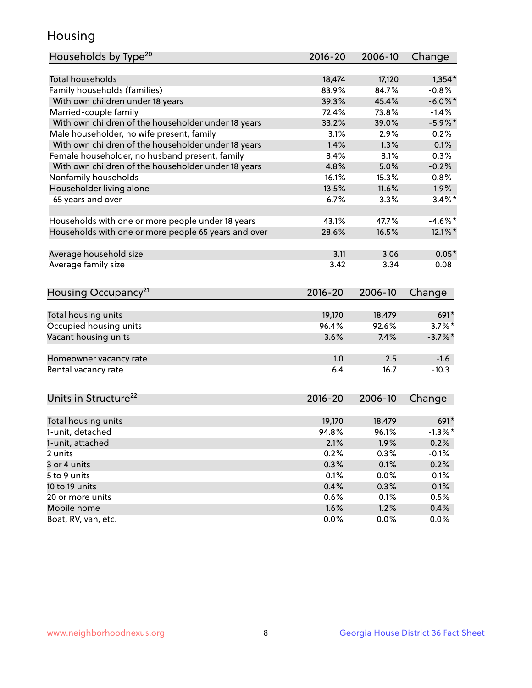## Housing

| Households by Type <sup>20</sup>                     | 2016-20     | 2006-10 | Change     |
|------------------------------------------------------|-------------|---------|------------|
|                                                      |             |         |            |
| <b>Total households</b>                              | 18,474      | 17,120  | $1,354*$   |
| Family households (families)                         | 83.9%       | 84.7%   | $-0.8%$    |
| With own children under 18 years                     | 39.3%       | 45.4%   | $-6.0\%$ * |
| Married-couple family                                | 72.4%       | 73.8%   | $-1.4%$    |
| With own children of the householder under 18 years  | 33.2%       | 39.0%   | $-5.9\%$ * |
| Male householder, no wife present, family            | 3.1%        | 2.9%    | 0.2%       |
| With own children of the householder under 18 years  | 1.4%        | 1.3%    | 0.1%       |
| Female householder, no husband present, family       | 8.4%        | 8.1%    | 0.3%       |
| With own children of the householder under 18 years  | 4.8%        | 5.0%    | $-0.2%$    |
| Nonfamily households                                 | 16.1%       | 15.3%   | 0.8%       |
| Householder living alone                             | 13.5%       | 11.6%   | 1.9%       |
| 65 years and over                                    | 6.7%        | 3.3%    | $3.4\%$ *  |
|                                                      |             |         |            |
| Households with one or more people under 18 years    | 43.1%       | 47.7%   | $-4.6\%$ * |
| Households with one or more people 65 years and over | 28.6%       | 16.5%   | 12.1%*     |
|                                                      |             |         |            |
| Average household size                               | 3.11        | 3.06    | $0.05*$    |
| Average family size                                  | 3.42        | 3.34    | 0.08       |
| Housing Occupancy <sup>21</sup>                      | 2016-20     | 2006-10 | Change     |
| Total housing units                                  | 19,170      | 18,479  | 691*       |
| Occupied housing units                               | 96.4%       | 92.6%   | $3.7\%$ *  |
| Vacant housing units                                 | 3.6%        | 7.4%    | $-3.7\%$ * |
|                                                      |             |         |            |
| Homeowner vacancy rate                               | 1.0         | 2.5     | $-1.6$     |
| Rental vacancy rate                                  | 6.4         | 16.7    | $-10.3$    |
| Units in Structure <sup>22</sup>                     | $2016 - 20$ | 2006-10 | Change     |
|                                                      |             |         |            |
| Total housing units                                  | 19,170      | 18,479  | 691*       |
| 1-unit, detached                                     | 94.8%       | 96.1%   | $-1.3\%$ * |
| 1-unit, attached                                     | 2.1%        | 1.9%    | 0.2%       |
| 2 units                                              | 0.2%        | 0.3%    | $-0.1%$    |
| 3 or 4 units                                         | 0.3%        | 0.1%    | 0.2%       |
| 5 to 9 units                                         | 0.1%        | 0.0%    | 0.1%       |
| 10 to 19 units                                       | 0.4%        | 0.3%    | 0.1%       |
| 20 or more units                                     | 0.6%        | 0.1%    | 0.5%       |
| Mobile home                                          | 1.6%        | 1.2%    | 0.4%       |
| Boat, RV, van, etc.                                  | 0.0%        | 0.0%    | 0.0%       |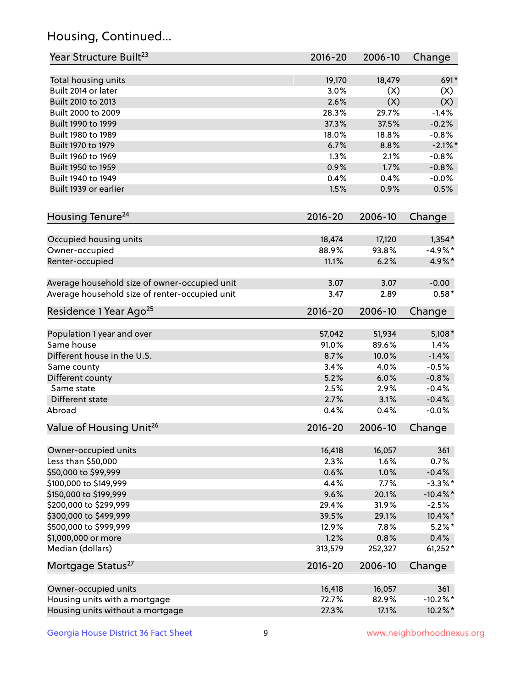## Housing, Continued...

| Year Structure Built <sup>23</sup>             | 2016-20     | 2006-10 | Change      |
|------------------------------------------------|-------------|---------|-------------|
| Total housing units                            | 19,170      | 18,479  | 691*        |
| Built 2014 or later                            | 3.0%        | (X)     | (X)         |
| Built 2010 to 2013                             | 2.6%        | (X)     | (X)         |
| Built 2000 to 2009                             | 28.3%       | 29.7%   | $-1.4%$     |
| Built 1990 to 1999                             | 37.3%       | 37.5%   | $-0.2%$     |
| Built 1980 to 1989                             | 18.0%       | 18.8%   | $-0.8%$     |
| Built 1970 to 1979                             | 6.7%        | 8.8%    | $-2.1\%$ *  |
| Built 1960 to 1969                             | 1.3%        | 2.1%    | $-0.8%$     |
| Built 1950 to 1959                             | 0.9%        | 1.7%    | $-0.8%$     |
| Built 1940 to 1949                             | 0.4%        | 0.4%    | $-0.0%$     |
| Built 1939 or earlier                          | 1.5%        | 0.9%    | 0.5%        |
| Housing Tenure <sup>24</sup>                   | $2016 - 20$ | 2006-10 | Change      |
| Occupied housing units                         | 18,474      | 17,120  | $1,354*$    |
| Owner-occupied                                 | 88.9%       | 93.8%   | $-4.9%$ *   |
| Renter-occupied                                | 11.1%       | 6.2%    | 4.9%*       |
| Average household size of owner-occupied unit  | 3.07        | 3.07    | $-0.00$     |
| Average household size of renter-occupied unit | 3.47        | 2.89    | $0.58*$     |
| Residence 1 Year Ago <sup>25</sup>             | $2016 - 20$ | 2006-10 | Change      |
| Population 1 year and over                     | 57,042      | 51,934  | $5,108*$    |
| Same house                                     | 91.0%       | 89.6%   | 1.4%        |
| Different house in the U.S.                    | 8.7%        | 10.0%   | $-1.4%$     |
| Same county                                    | 3.4%        | 4.0%    | $-0.5%$     |
| Different county                               | 5.2%        | 6.0%    | $-0.8%$     |
| Same state                                     | 2.5%        | 2.9%    | $-0.4%$     |
| Different state                                | 2.7%        | 3.1%    | $-0.4%$     |
| Abroad                                         | 0.4%        | 0.4%    | $-0.0%$     |
| Value of Housing Unit <sup>26</sup>            | $2016 - 20$ | 2006-10 | Change      |
| Owner-occupied units                           | 16,418      | 16,057  | 361         |
| Less than \$50,000                             | 2.3%        | 1.6%    | 0.7%        |
| \$50,000 to \$99,999                           | 0.6%        | 1.0%    | $-0.4%$     |
| \$100,000 to \$149,999                         | 4.4%        | 7.7%    | $-3.3\%$ *  |
| \$150,000 to \$199,999                         | 9.6%        | 20.1%   | $-10.4\%$ * |
| \$200,000 to \$299,999                         | 29.4%       | 31.9%   | $-2.5%$     |
| \$300,000 to \$499,999                         | 39.5%       | 29.1%   | 10.4%*      |
| \$500,000 to \$999,999                         | 12.9%       | 7.8%    | $5.2\%$ *   |
| \$1,000,000 or more                            | 1.2%        | 0.8%    | 0.4%        |
| Median (dollars)                               | 313,579     | 252,327 | $61,252*$   |
| Mortgage Status <sup>27</sup>                  | $2016 - 20$ | 2006-10 | Change      |
| Owner-occupied units                           | 16,418      | 16,057  | 361         |
| Housing units with a mortgage                  | 72.7%       | 82.9%   | $-10.2\%$ * |
| Housing units without a mortgage               | 27.3%       | 17.1%   | 10.2%*      |
|                                                |             |         |             |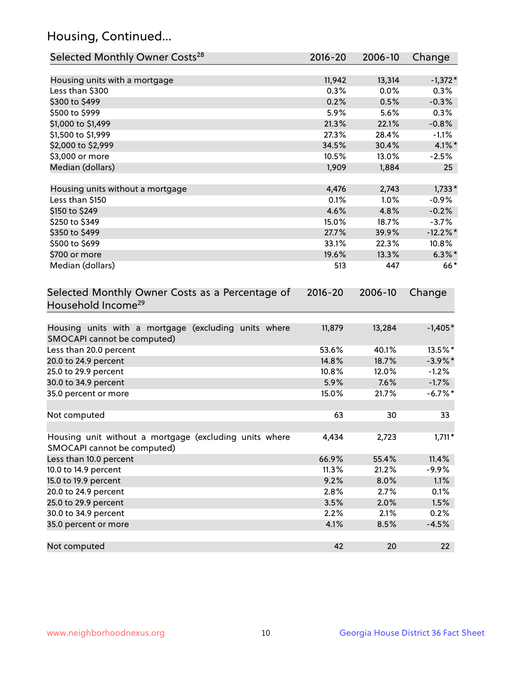## Housing, Continued...

| Selected Monthly Owner Costs <sup>28</sup>                                            | $2016 - 20$ | 2006-10 | Change      |
|---------------------------------------------------------------------------------------|-------------|---------|-------------|
| Housing units with a mortgage                                                         | 11,942      | 13,314  | $-1,372*$   |
| Less than \$300                                                                       | 0.3%        | 0.0%    | 0.3%        |
| \$300 to \$499                                                                        | 0.2%        | 0.5%    | $-0.3%$     |
| \$500 to \$999                                                                        | 5.9%        | 5.6%    | 0.3%        |
| \$1,000 to \$1,499                                                                    | 21.3%       | 22.1%   | $-0.8%$     |
| \$1,500 to \$1,999                                                                    | 27.3%       | 28.4%   | $-1.1%$     |
| \$2,000 to \$2,999                                                                    | 34.5%       | 30.4%   | $4.1\%$ *   |
| \$3,000 or more                                                                       | 10.5%       | 13.0%   | $-2.5%$     |
| Median (dollars)                                                                      | 1,909       | 1,884   | 25          |
| Housing units without a mortgage                                                      | 4,476       | 2,743   | $1,733*$    |
| Less than \$150                                                                       | 0.1%        | 1.0%    | $-0.9%$     |
| \$150 to \$249                                                                        | 4.6%        | 4.8%    | $-0.2%$     |
| \$250 to \$349                                                                        | 15.0%       | 18.7%   | $-3.7%$     |
| \$350 to \$499                                                                        | 27.7%       | 39.9%   | $-12.2\%$ * |
| \$500 to \$699                                                                        | 33.1%       | 22.3%   | 10.8%       |
| \$700 or more                                                                         | 19.6%       | 13.3%   | $6.3\%$ *   |
| Median (dollars)                                                                      | 513         | 447     | $66*$       |
| Selected Monthly Owner Costs as a Percentage of<br>Household Income <sup>29</sup>     | $2016 - 20$ | 2006-10 | Change      |
| Housing units with a mortgage (excluding units where<br>SMOCAPI cannot be computed)   | 11,879      | 13,284  | $-1,405*$   |
| Less than 20.0 percent                                                                | 53.6%       | 40.1%   | 13.5%*      |
| 20.0 to 24.9 percent                                                                  | 14.8%       | 18.7%   | $-3.9\%$ *  |
| 25.0 to 29.9 percent                                                                  | 10.8%       | 12.0%   | $-1.2%$     |
| 30.0 to 34.9 percent                                                                  | 5.9%        | 7.6%    | $-1.7%$     |
| 35.0 percent or more                                                                  | 15.0%       | 21.7%   | $-6.7\%$ *  |
| Not computed                                                                          | 63          | 30      | 33          |
| Housing unit without a mortgage (excluding units where<br>SMOCAPI cannot be computed) | 4,434       | 2,723   | $1,711*$    |
| Less than 10.0 percent                                                                | 66.9%       | 55.4%   | 11.4%       |
| 10.0 to 14.9 percent                                                                  | 11.3%       | 21.2%   | $-9.9%$     |
| 15.0 to 19.9 percent                                                                  | 9.2%        | 8.0%    | 1.1%        |
| 20.0 to 24.9 percent                                                                  | 2.8%        | 2.7%    | 0.1%        |
| 25.0 to 29.9 percent                                                                  | 3.5%        | 2.0%    | 1.5%        |
| 30.0 to 34.9 percent                                                                  | 2.2%        | 2.1%    | 0.2%        |
| 35.0 percent or more                                                                  | 4.1%        | 8.5%    | $-4.5%$     |
| Not computed                                                                          | 42          | 20      | 22          |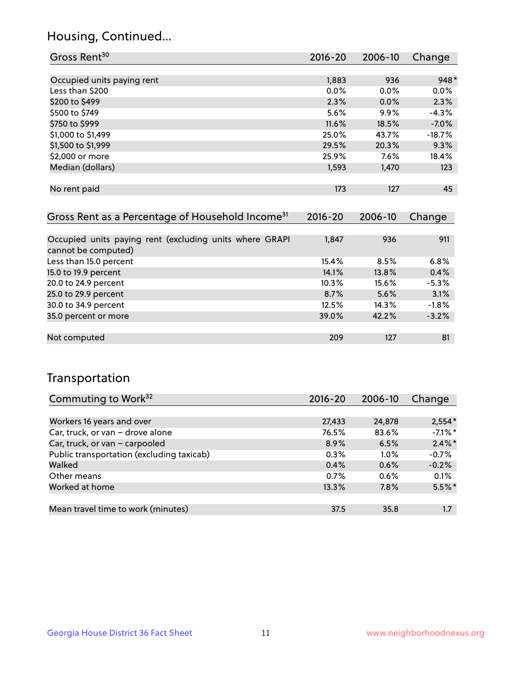### Housing, Continued...

| Gross Rent <sup>30</sup>                                     | 2016-20     | 2006-10     | Change   |
|--------------------------------------------------------------|-------------|-------------|----------|
|                                                              |             |             |          |
| Occupied units paying rent                                   | 1,883       | 936         | 948*     |
| Less than \$200                                              | $0.0\%$     | $0.0\%$     | $0.0\%$  |
| \$200 to \$499                                               | 2.3%        | $0.0\%$     | 2.3%     |
| \$500 to \$749                                               | 5.6%        | $9.9\%$     | $-4.3%$  |
| \$750 to \$999                                               | 11.6%       | 18.5%       | $-7.0\%$ |
| \$1,000 to \$1,499                                           | 25.0%       | 43.7%       | $-18.7%$ |
| \$1,500 to \$1,999                                           | 29.5%       | 20.3%       | 9.3%     |
| \$2,000 or more                                              | 25.9%       | 7.6%        | 18.4%    |
| Median (dollars)                                             | 1,593       | 1,470       | 123      |
|                                                              |             |             |          |
| No rent paid                                                 | 173         | 127         | 45       |
|                                                              |             |             |          |
| Gross Rent as a Percentage of Household Income <sup>31</sup> | $2016 - 20$ | $2006 - 10$ | Change   |

| <b>Prossingle distribution of the contract of the contract of the contract of the contract of the contract of the contract of the contract of the contract of the contract of the contract of the contract of the contract of th</b> | $\sim$ $\sim$ $\sim$ | <b>LVVV</b> 19 | 11111   |
|--------------------------------------------------------------------------------------------------------------------------------------------------------------------------------------------------------------------------------------|----------------------|----------------|---------|
|                                                                                                                                                                                                                                      |                      |                |         |
| Occupied units paying rent (excluding units where GRAPI                                                                                                                                                                              | 1,847                | 936            | 911     |
| cannot be computed)                                                                                                                                                                                                                  |                      |                |         |
| Less than 15.0 percent                                                                                                                                                                                                               | 15.4%                | 8.5%           | 6.8%    |
| 15.0 to 19.9 percent                                                                                                                                                                                                                 | 14.1%                | 13.8%          | 0.4%    |
| 20.0 to 24.9 percent                                                                                                                                                                                                                 | $10.3\%$             | 15.6%          | $-5.3%$ |
| 25.0 to 29.9 percent                                                                                                                                                                                                                 | 8.7%                 | 5.6%           | 3.1%    |
| 30.0 to 34.9 percent                                                                                                                                                                                                                 | 12.5%                | 14.3%          | $-1.8%$ |
| 35.0 percent or more                                                                                                                                                                                                                 | 39.0%                | 42.2%          | $-3.2%$ |
|                                                                                                                                                                                                                                      |                      |                |         |
| Not computed                                                                                                                                                                                                                         | 209                  | 127            | 81      |

### Transportation

| Commuting to Work <sup>32</sup>           | 2016-20 | 2006-10 | Change     |
|-------------------------------------------|---------|---------|------------|
|                                           |         |         |            |
| Workers 16 years and over                 | 27,433  | 24,878  | $2,554*$   |
| Car, truck, or van - drove alone          | 76.5%   | 83.6%   | $-7.1\%$ * |
| Car, truck, or van - carpooled            | 8.9%    | 6.5%    | $2.4\%$ *  |
| Public transportation (excluding taxicab) | 0.3%    | $1.0\%$ | $-0.7%$    |
| Walked                                    | 0.4%    | 0.6%    | $-0.2%$    |
| Other means                               | 0.7%    | 0.6%    | 0.1%       |
| Worked at home                            | 13.3%   | 7.8%    | $5.5%$ *   |
|                                           |         |         |            |
| Mean travel time to work (minutes)        | 37.5    | 35.8    | 1.7        |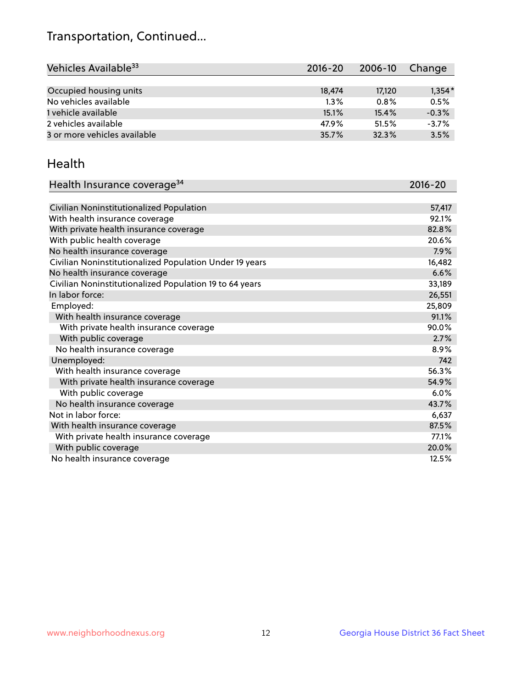## Transportation, Continued...

| Vehicles Available <sup>33</sup> | $2016 - 20$ | 2006-10 | Change   |
|----------------------------------|-------------|---------|----------|
|                                  |             |         |          |
| Occupied housing units           | 18,474      | 17,120  | $1,354*$ |
| No vehicles available            | $1.3\%$     | 0.8%    | 0.5%     |
| 1 vehicle available              | 15.1%       | 15.4%   | $-0.3%$  |
| 2 vehicles available             | 47.9%       | 51.5%   | $-3.7%$  |
| 3 or more vehicles available     | 35.7%       | 32.3%   | 3.5%     |

#### Health

| Health Insurance coverage <sup>34</sup>                 | 2016-20 |
|---------------------------------------------------------|---------|
|                                                         |         |
| Civilian Noninstitutionalized Population                | 57,417  |
| With health insurance coverage                          | 92.1%   |
| With private health insurance coverage                  | 82.8%   |
| With public health coverage                             | 20.6%   |
| No health insurance coverage                            | 7.9%    |
| Civilian Noninstitutionalized Population Under 19 years | 16,482  |
| No health insurance coverage                            | 6.6%    |
| Civilian Noninstitutionalized Population 19 to 64 years | 33,189  |
| In labor force:                                         | 26,551  |
| Employed:                                               | 25,809  |
| With health insurance coverage                          | 91.1%   |
| With private health insurance coverage                  | 90.0%   |
| With public coverage                                    | 2.7%    |
| No health insurance coverage                            | 8.9%    |
| Unemployed:                                             | 742     |
| With health insurance coverage                          | 56.3%   |
| With private health insurance coverage                  | 54.9%   |
| With public coverage                                    | 6.0%    |
| No health insurance coverage                            | 43.7%   |
| Not in labor force:                                     | 6,637   |
| With health insurance coverage                          | 87.5%   |
| With private health insurance coverage                  | 77.1%   |
| With public coverage                                    | 20.0%   |
| No health insurance coverage                            | 12.5%   |